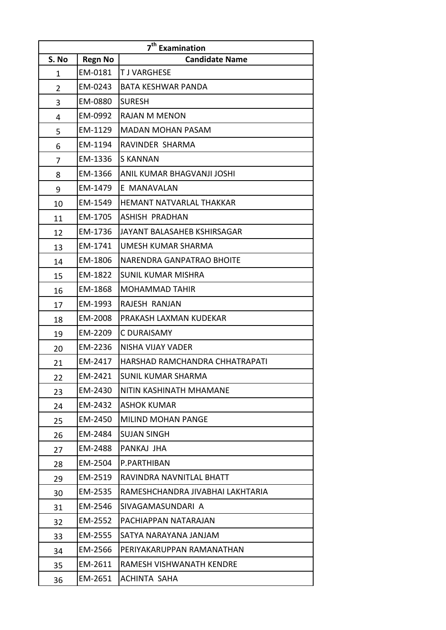| 7 <sup>th</sup> Examination |                |                                  |  |  |
|-----------------------------|----------------|----------------------------------|--|--|
| S. No                       | <b>Regn No</b> | <b>Candidate Name</b>            |  |  |
| 1                           | EM-0181        | <b>TJ VARGHESE</b>               |  |  |
| $\overline{2}$              | EM-0243        | <b>BATA KESHWAR PANDA</b>        |  |  |
| 3                           | EM-0880        | <b>SURESH</b>                    |  |  |
| 4                           | EM-0992        | <b>RAJAN M MENON</b>             |  |  |
| 5                           | EM-1129        | <b>MADAN MOHAN PASAM</b>         |  |  |
| 6                           | EM-1194        | RAVINDER SHARMA                  |  |  |
| 7                           | EM-1336        | <b>S KANNAN</b>                  |  |  |
| 8                           | EM-1366        | ANIL KUMAR BHAGVANJI JOSHI       |  |  |
| 9                           | EM-1479        | E MANAVALAN                      |  |  |
| 10                          | EM-1549        | <b>HEMANT NATVARLAL THAKKAR</b>  |  |  |
| 11                          | EM-1705        | ASHISH PRADHAN                   |  |  |
| 12                          | EM-1736        | JAYANT BALASAHEB KSHIRSAGAR      |  |  |
| 13                          | EM-1741        | UMESH KUMAR SHARMA               |  |  |
| 14                          | EM-1806        | <b>NARENDRA GANPATRAO BHOITE</b> |  |  |
| 15                          | EM-1822        | <b>SUNIL KUMAR MISHRA</b>        |  |  |
| 16                          | EM-1868        | <b>MOHAMMAD TAHIR</b>            |  |  |
| 17                          | EM-1993        | RAJESH RANJAN                    |  |  |
| 18                          | EM-2008        | PRAKASH LAXMAN KUDEKAR           |  |  |
| 19                          | EM-2209        | C DURAISAMY                      |  |  |
| 20                          | EM-2236        | NISHA VIJAY VADER                |  |  |
| 21                          | EM-2417        | HARSHAD RAMCHANDRA CHHATRAPATI   |  |  |
| 22                          | EM-2421        | <b>SUNIL KUMAR SHARMA</b>        |  |  |
| 23                          | EM-2430        | NITIN KASHINATH MHAMANE          |  |  |
| 24                          | EM-2432        | <b>ASHOK KUMAR</b>               |  |  |
| 25                          | EM-2450        | <b>MILIND MOHAN PANGE</b>        |  |  |
| 26                          | EM-2484        | <b>SUJAN SINGH</b>               |  |  |
| 27                          | EM-2488        | PANKAJ JHA                       |  |  |
| 28                          | EM-2504        | P.PARTHIBAN                      |  |  |
| 29                          | EM-2519        | RAVINDRA NAVNITLAL BHATT         |  |  |
| 30                          | EM-2535        | RAMESHCHANDRA JIVABHAI LAKHTARIA |  |  |
| 31                          | EM-2546        | SIVAGAMASUNDARI A                |  |  |
| 32                          | EM-2552        | PACHIAPPAN NATARAJAN             |  |  |
| 33                          | EM-2555        | SATYA NARAYANA JANJAM            |  |  |
| 34                          | EM-2566        | PERIYAKARUPPAN RAMANATHAN        |  |  |
| 35                          | EM-2611        | RAMESH VISHWANATH KENDRE         |  |  |
| 36                          | EM-2651        | <b>ACHINTA SAHA</b>              |  |  |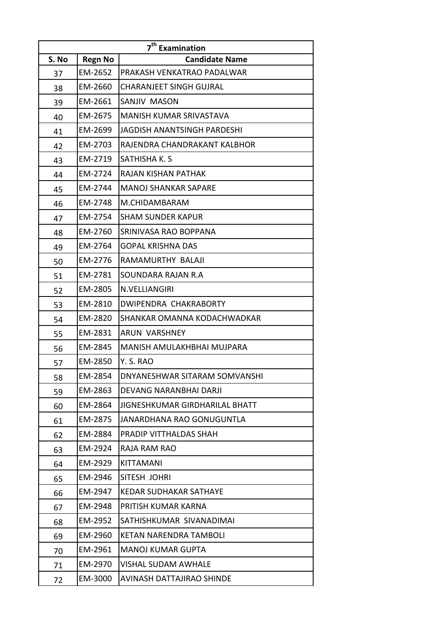|       | 7 <sup>th</sup> Examination |                                |  |  |  |
|-------|-----------------------------|--------------------------------|--|--|--|
| S. No | <b>Regn No</b>              | <b>Candidate Name</b>          |  |  |  |
| 37    | EM-2652                     | PRAKASH VENKATRAO PADALWAR     |  |  |  |
| 38    | EM-2660                     | <b>CHARANJEET SINGH GUJRAL</b> |  |  |  |
| 39    | EM-2661                     | SANJIV MASON                   |  |  |  |
| 40    | EM-2675                     | <b>MANISH KUMAR SRIVASTAVA</b> |  |  |  |
| 41    | EM-2699                     | JAGDISH ANANTSINGH PARDESHI    |  |  |  |
| 42    | EM-2703                     | RAJENDRA CHANDRAKANT KALBHOR   |  |  |  |
| 43    | EM-2719                     | SATHISHA K. S                  |  |  |  |
| 44    | EM-2724                     | RAJAN KISHAN PATHAK            |  |  |  |
| 45    | EM-2744                     | <b>MANOJ SHANKAR SAPARE</b>    |  |  |  |
| 46    | EM-2748                     | M.CHIDAMBARAM                  |  |  |  |
| 47    | EM-2754                     | <b>SHAM SUNDER KAPUR</b>       |  |  |  |
| 48    | EM-2760                     | SRINIVASA RAO BOPPANA          |  |  |  |
| 49    | EM-2764                     | <b>GOPAL KRISHNA DAS</b>       |  |  |  |
| 50    | EM-2776                     | RAMAMURTHY BALAJI              |  |  |  |
| 51    | EM-2781                     | SOUNDARA RAJAN R.A             |  |  |  |
| 52    | EM-2805                     | N.VELLIANGIRI                  |  |  |  |
| 53    | EM-2810                     | DWIPENDRA CHAKRABORTY          |  |  |  |
| 54    | EM-2820                     | SHANKAR OMANNA KODACHWADKAR    |  |  |  |
| 55    | EM-2831                     | ARUN VARSHNEY                  |  |  |  |
| 56    | EM-2845                     | MANISH AMULAKHBHAI MUJPARA     |  |  |  |
| 57    | EM-2850                     | Y. S. RAO                      |  |  |  |
| 58    | EM-2854                     | DNYANESHWAR SITARAM SOMVANSHI  |  |  |  |
| 59    | EM-2863                     | DEVANG NARANBHAI DARJI         |  |  |  |
| 60    | EM-2864                     | JIGNESHKUMAR GIRDHARILAL BHATT |  |  |  |
| 61    | EM-2875                     | JANARDHANA RAO GONUGUNTLA      |  |  |  |
| 62    | EM-2884                     | PRADIP VITTHALDAS SHAH         |  |  |  |
| 63    | EM-2924                     | RAJA RAM RAO                   |  |  |  |
| 64    | EM-2929                     | KITTAMANI                      |  |  |  |
| 65    | EM-2946                     | SITESH JOHRI                   |  |  |  |
| 66    | EM-2947                     | KEDAR SUDHAKAR SATHAYE         |  |  |  |
| 67    | EM-2948                     | PRITISH KUMAR KARNA            |  |  |  |
| 68    | EM-2952                     | SATHISHKUMAR SIVANADIMAI       |  |  |  |
| 69    | EM-2960                     | <b>KETAN NARENDRA TAMBOLI</b>  |  |  |  |
| 70    | EM-2961                     | <b>MANOJ KUMAR GUPTA</b>       |  |  |  |
| 71    | EM-2970                     | <b>VISHAL SUDAM AWHALE</b>     |  |  |  |
| 72    | EM-3000                     | AVINASH DATTAJIRAO SHINDE      |  |  |  |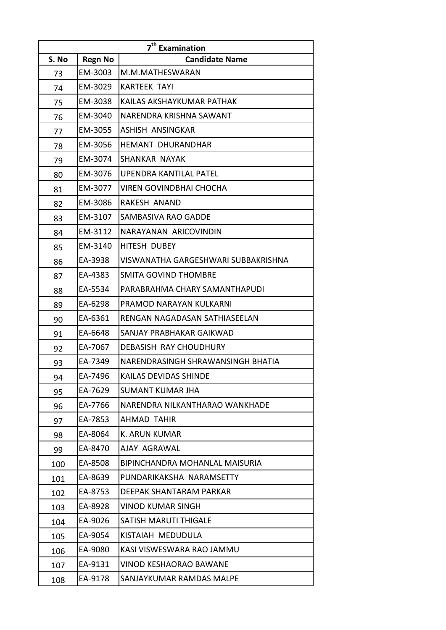| 7 <sup>th</sup> Examination |                |                                     |  |  |
|-----------------------------|----------------|-------------------------------------|--|--|
| S. No                       | <b>Regn No</b> | <b>Candidate Name</b>               |  |  |
| 73                          | EM-3003        | M.M.MATHESWARAN                     |  |  |
| 74                          | EM-3029        | <b>KARTEEK TAYI</b>                 |  |  |
| 75                          | EM-3038        | KAILAS AKSHAYKUMAR PATHAK           |  |  |
| 76                          | EM-3040        | NARENDRA KRISHNA SAWANT             |  |  |
| 77                          | EM-3055        | ASHISH ANSINGKAR                    |  |  |
| 78                          | EM-3056        | <b>HEMANT DHURANDHAR</b>            |  |  |
| 79                          | EM-3074        | SHANKAR NAYAK                       |  |  |
| 80                          | EM-3076        | UPENDRA KANTILAL PATEL              |  |  |
| 81                          | EM-3077        | <b>VIREN GOVINDBHAI CHOCHA</b>      |  |  |
| 82                          | EM-3086        | RAKESH ANAND                        |  |  |
| 83                          | EM-3107        | <b>SAMBASIVA RAO GADDE</b>          |  |  |
| 84                          | EM-3112        | NARAYANAN ARICOVINDIN               |  |  |
| 85                          | EM-3140        | HITESH DUBEY                        |  |  |
| 86                          | EA-3938        | VISWANATHA GARGESHWARI SUBBAKRISHNA |  |  |
| 87                          | EA-4383        | <b>SMITA GOVIND THOMBRE</b>         |  |  |
| 88                          | EA-5534        | PARABRAHMA CHARY SAMANTHAPUDI       |  |  |
| 89                          | EA-6298        | PRAMOD NARAYAN KULKARNI             |  |  |
| 90                          | EA-6361        | RENGAN NAGADASAN SATHIASEELAN       |  |  |
| 91                          | EA-6648        | SANJAY PRABHAKAR GAIKWAD            |  |  |
| 92                          | EA-7067        | DEBASISH RAY CHOUDHURY              |  |  |
| 93                          | EA-7349        | NARENDRASINGH SHRAWANSINGH BHATIA   |  |  |
| 94                          | EA-7496        | KAILAS DEVIDAS SHINDE               |  |  |
| 95                          | EA-7629        | SUMANT KUMAR JHA                    |  |  |
| 96                          | EA-7766        | NARENDRA NILKANTHARAO WANKHADE      |  |  |
| 97                          | EA-7853        | AHMAD TAHIR                         |  |  |
| 98                          | EA-8064        | <b>K. ARUN KUMAR</b>                |  |  |
| 99                          | EA-8470        | AJAY AGRAWAL                        |  |  |
| 100                         | EA-8508        | BIPINCHANDRA MOHANLAL MAISURIA      |  |  |
| 101                         | EA-8639        | PUNDARIKAKSHA NARAMSETTY            |  |  |
| 102                         | EA-8753        | DEEPAK SHANTARAM PARKAR             |  |  |
| 103                         | EA-8928        | <b>VINOD KUMAR SINGH</b>            |  |  |
| 104                         | EA-9026        | <b>SATISH MARUTI THIGALE</b>        |  |  |
| 105                         | EA-9054        | KISTAIAH MEDUDULA                   |  |  |
| 106                         | EA-9080        | KASI VISWESWARA RAO JAMMU           |  |  |
| 107                         | EA-9131        | <b>VINOD KESHAORAO BAWANE</b>       |  |  |
| 108                         | EA-9178        | SANJAYKUMAR RAMDAS MALPE            |  |  |